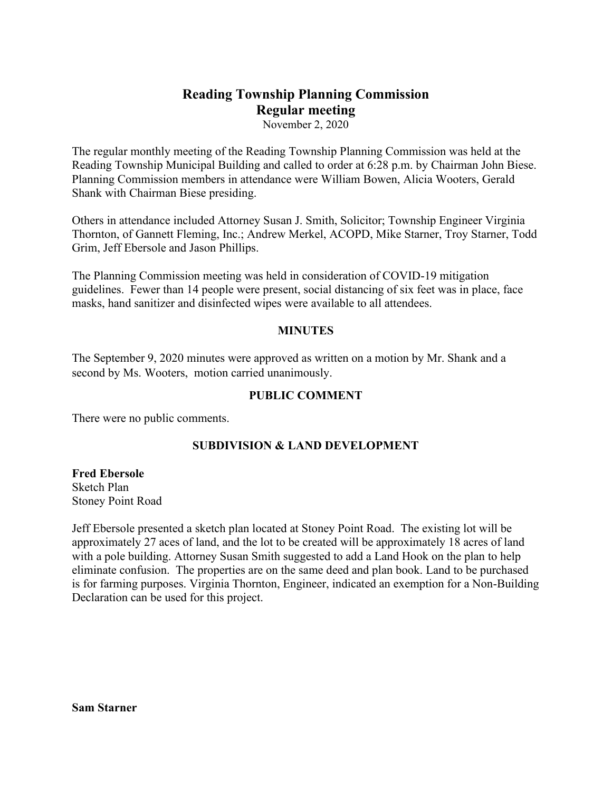# **Reading Township Planning Commission Regular meeting**

November 2, 2020

The regular monthly meeting of the Reading Township Planning Commission was held at the Reading Township Municipal Building and called to order at 6:28 p.m. by Chairman John Biese. Planning Commission members in attendance were William Bowen, Alicia Wooters, Gerald Shank with Chairman Biese presiding.

Others in attendance included Attorney Susan J. Smith, Solicitor; Township Engineer Virginia Thornton, of Gannett Fleming, Inc.; Andrew Merkel, ACOPD, Mike Starner, Troy Starner, Todd Grim, Jeff Ebersole and Jason Phillips.

The Planning Commission meeting was held in consideration of COVID-19 mitigation guidelines. Fewer than 14 people were present, social distancing of six feet was in place, face masks, hand sanitizer and disinfected wipes were available to all attendees.

### **MINUTES**

The September 9, 2020 minutes were approved as written on a motion by Mr. Shank and a second by Ms. Wooters, motion carried unanimously.

## **PUBLIC COMMENT**

There were no public comments.

### **SUBDIVISION & LAND DEVELOPMENT**

### **Fred Ebersole**

Sketch Plan Stoney Point Road

Jeff Ebersole presented a sketch plan located at Stoney Point Road. The existing lot will be approximately 27 aces of land, and the lot to be created will be approximately 18 acres of land with a pole building. Attorney Susan Smith suggested to add a Land Hook on the plan to help eliminate confusion. The properties are on the same deed and plan book. Land to be purchased is for farming purposes. Virginia Thornton, Engineer, indicated an exemption for a Non-Building Declaration can be used for this project.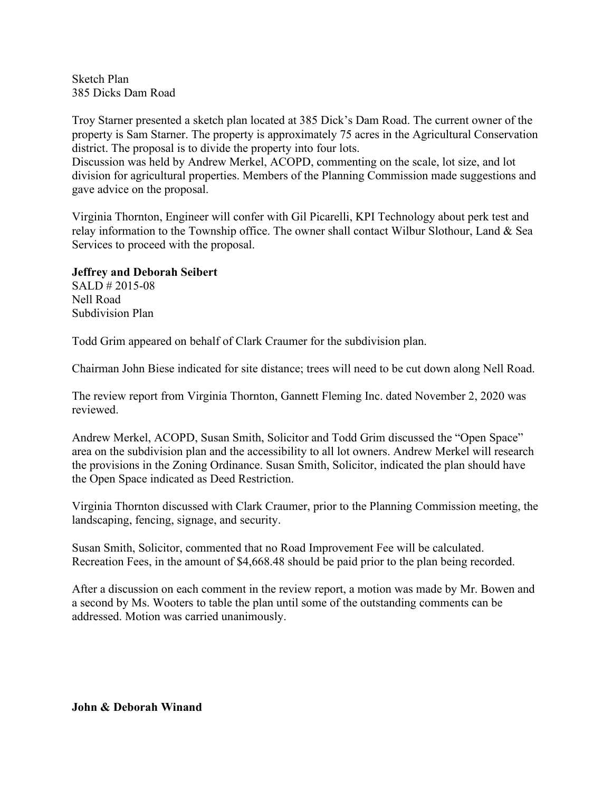Sketch Plan 385 Dicks Dam Road

Troy Starner presented a sketch plan located at 385 Dick's Dam Road. The current owner of the property is Sam Starner. The property is approximately 75 acres in the Agricultural Conservation district. The proposal is to divide the property into four lots.

Discussion was held by Andrew Merkel, ACOPD, commenting on the scale, lot size, and lot division for agricultural properties. Members of the Planning Commission made suggestions and gave advice on the proposal.

Virginia Thornton, Engineer will confer with Gil Picarelli, KPI Technology about perk test and relay information to the Township office. The owner shall contact Wilbur Slothour, Land & Sea Services to proceed with the proposal.

# **Jeffrey and Deborah Seibert**

SALD # 2015-08 Nell Road Subdivision Plan

Todd Grim appeared on behalf of Clark Craumer for the subdivision plan.

Chairman John Biese indicated for site distance; trees will need to be cut down along Nell Road.

The review report from Virginia Thornton, Gannett Fleming Inc. dated November 2, 2020 was reviewed.

Andrew Merkel, ACOPD, Susan Smith, Solicitor and Todd Grim discussed the "Open Space" area on the subdivision plan and the accessibility to all lot owners. Andrew Merkel will research the provisions in the Zoning Ordinance. Susan Smith, Solicitor, indicated the plan should have the Open Space indicated as Deed Restriction.

Virginia Thornton discussed with Clark Craumer, prior to the Planning Commission meeting, the landscaping, fencing, signage, and security.

Susan Smith, Solicitor, commented that no Road Improvement Fee will be calculated. Recreation Fees, in the amount of \$4,668.48 should be paid prior to the plan being recorded.

After a discussion on each comment in the review report, a motion was made by Mr. Bowen and a second by Ms. Wooters to table the plan until some of the outstanding comments can be addressed. Motion was carried unanimously.